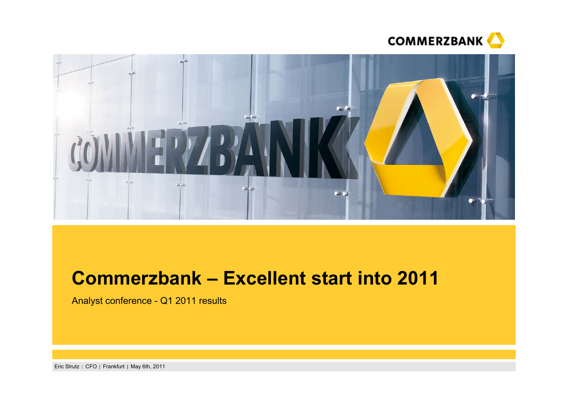



# **Commerzbank – Excellent start into 2011**

Analyst conference - Q1 2011 results

Eric Strutz | CFO | Frankfurt | May 6th, 2011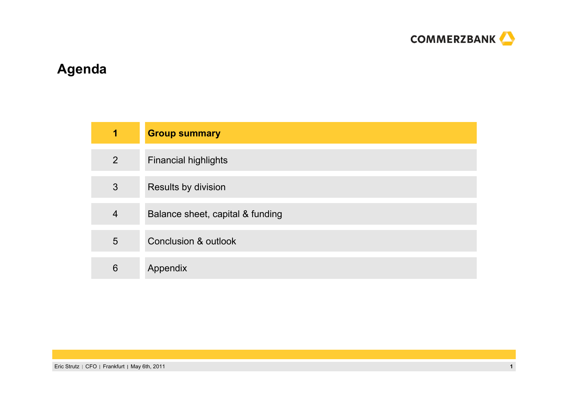

# **Agenda**

| 1              | <b>Group summary</b>             |
|----------------|----------------------------------|
| $\overline{2}$ | <b>Financial highlights</b>      |
| 3              | Results by division              |
| $\overline{4}$ | Balance sheet, capital & funding |
| 5              | <b>Conclusion &amp; outlook</b>  |
| 6              | Appendix                         |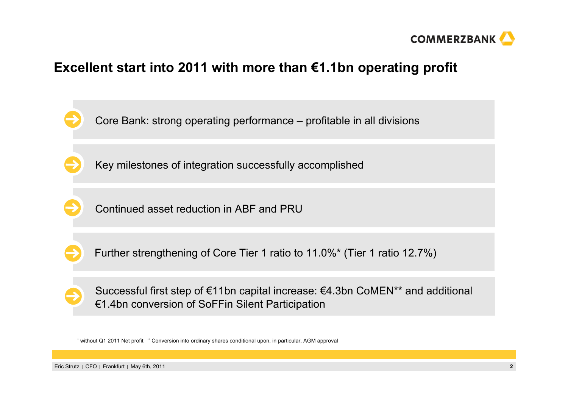

### **Excellent start into 2011 with more than €1.1bn operating profit**



\* without Q1 2011 Net profit \*\* Conversion into ordinary shares conditional upon, in particular, AGM approval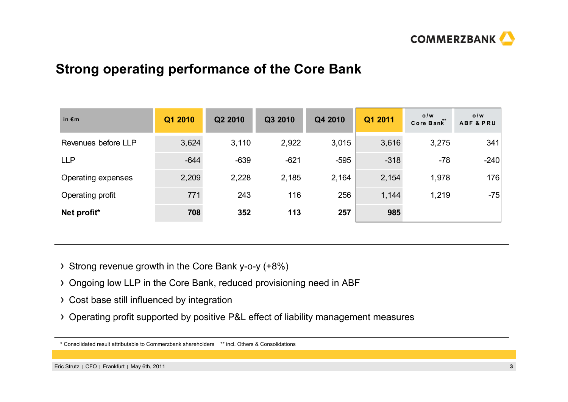

### **Strong operating performance of the Core Bank**

| in $\epsilon$ m     | Q1 2010 | Q2 2010 | Q3 2010 | Q4 2010 | Q1 2011 | 0/w<br>Core Bank* | 0/w<br><b>ABF &amp; PRU</b> |
|---------------------|---------|---------|---------|---------|---------|-------------------|-----------------------------|
| Revenues before LLP | 3,624   | 3,110   | 2,922   | 3,015   | 3,616   | 3,275             | 341                         |
| <b>LLP</b>          | $-644$  | $-639$  | $-621$  | $-595$  | $-318$  | $-78$             | $-240$                      |
| Operating expenses  | 2,209   | 2,228   | 2,185   | 2,164   | 2,154   | 1,978             | 176                         |
| Operating profit    | 771     | 243     | 116     | 256     | 1,144   | 1,219             | $-75$                       |
| Net profit*         | 708     | 352     | 113     | 257     | 985     |                   |                             |

- Strong revenue growth in the Core Bank y-o-y (+8%)
- Ongoing low LLP in the Core Bank, reduced provisioning need in ABF
- Cost base still influenced by integration
- Operating profit supported by positive P&L effect of liability management measures

<sup>\*</sup> Consolidated result attributable to Commerzbank shareholders \*\* incl. Others & Consolidations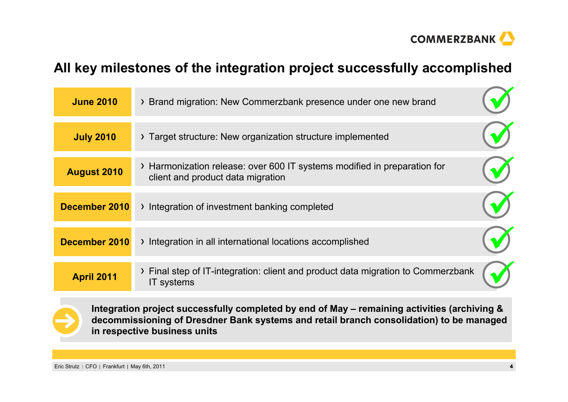

### **All key milestones of the integration project successfully accomplished**

| <b>June 2010</b>   | > Brand migration: New Commerzbank presence under one new brand                                               |  |
|--------------------|---------------------------------------------------------------------------------------------------------------|--|
| <b>July 2010</b>   | > Target structure: New organization structure implemented                                                    |  |
| <b>August 2010</b> | > Harmonization release: over 600 IT systems modified in preparation for<br>client and product data migration |  |
| December 2010      | > Integration of investment banking completed                                                                 |  |
| December 2010      | > Integration in all international locations accomplished                                                     |  |
| <b>April 2011</b>  | > Final step of IT-integration: client and product data migration to Commerzbank<br>IT systems                |  |



**Integration project successfully completed by end of May – remaining activities (archiving & decommissioning of Dresdner Bank systems and retail branch consolidation) to be managed in respective business units**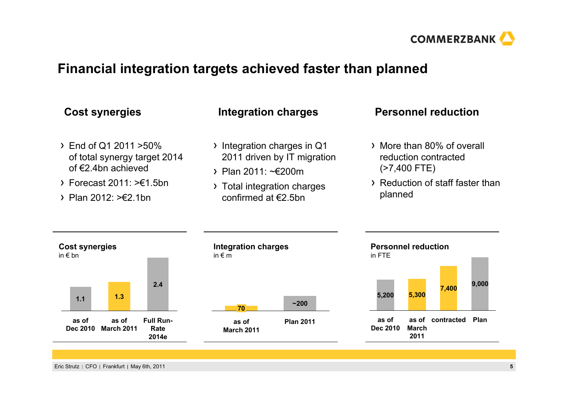

### **Financial integration targets achieved faster than planned**

- End of Q1 2011 >50% of total synergy target 2014 of €2.4bn achieved
- $\sum$  Forecast 2011:  $\geq \in 1.5$ bn
- $\rightarrow$  Plan 2012: >  $\neq$  2.1bn

- Integration charges in Q1 2011 driven by IT migration
- Plan 2011: ~€200m
- > Total integration charges confirmed at  $\epsilon$ 2.5bn

### Cost synergies Integration charges Personnel reduction

- More than 80% of overall reduction contracted (>7,400 FTE)
- Reduction of staff faster than planned

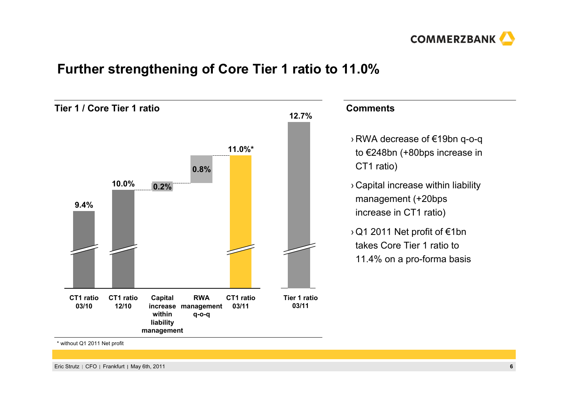

### **Further strengthening of Core Tier 1 ratio to 11.0%**

**Tier 1 / Core Tier 1 ratio11.0%\*CT1 ratio03/11RWA management increase q-o-q 0.8%Capital withinliability management 0.2%CT1 ratio12/1010.0%CT1 ratio03/109.4%Tier 1 ratio03/1112.7%**

**Comments**

- › RWA decrease of €19bn q-o-q to €248bn (+80bps increase in CT1 ratio)
- › Capital increase within liability management (+20bps increase in CT1 ratio)
- ›Q1 2011 Net profit of €1bn takes Core Tier 1 ratio to 11.4% on a pro-forma basis

\* without Q1 2011 Net profit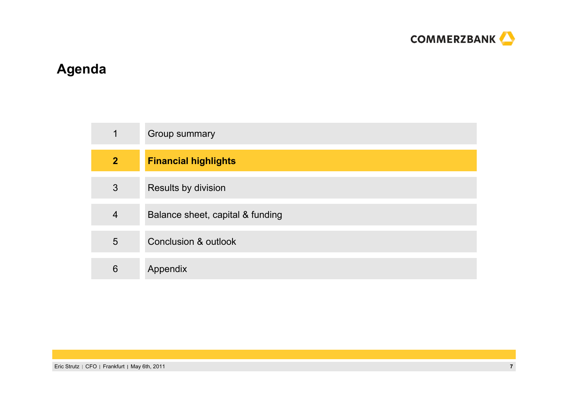

# **Agenda**

| 1              | Group summary                    |
|----------------|----------------------------------|
| $\overline{2}$ | <b>Financial highlights</b>      |
| 3              | Results by division              |
| $\overline{4}$ | Balance sheet, capital & funding |
| 5              | <b>Conclusion &amp; outlook</b>  |
| 6              | Appendix                         |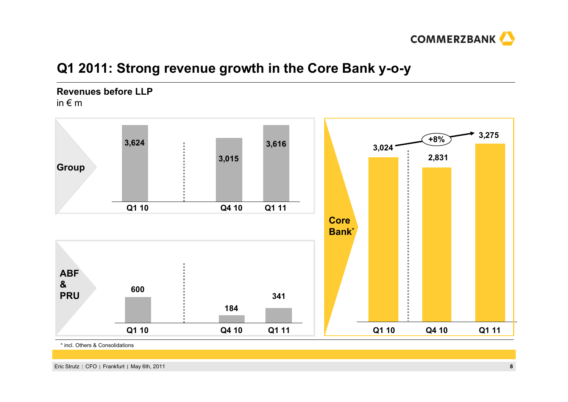

### **Q1 2011: Strong revenue growth in the Core Bank y-o-y**

### **Revenues before LLP**in € m



\* incl. Others & Consolidations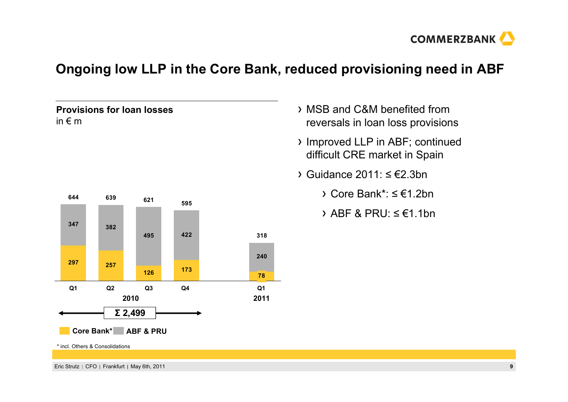

### **Ongoing low LLP in the Core Bank, reduced provisioning need in ABF**

### **Provisions for loan losses** in € m



- MSB and C&M benefited from reversals in loan loss provisions
- Improved LLP in ABF; continued difficult CRE market in Spain
- Guidance 2011: ≤ €2.3bn
	- Core Bank\*: ≤ €1.2bn
	- ABF & PRU: ≤ €1.1bn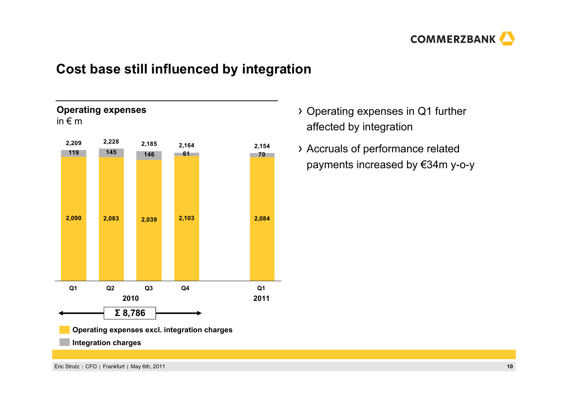

### **Cost base still influenced by integration**



- Operating expenses in Q1 further affected by integration
- Accruals of performance related payments increased by €34m y-o-y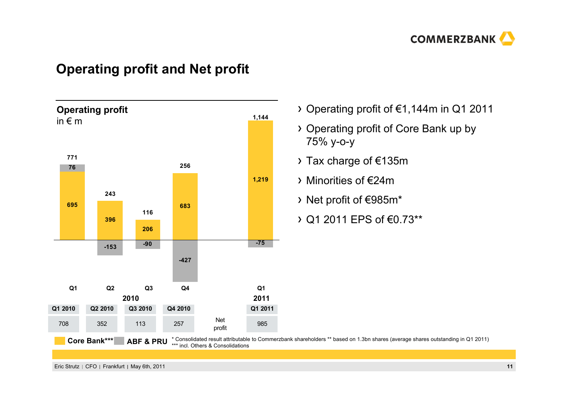

### **Operating profit and Net profit**



- Operating profit of €1,144m in Q1 2011
- Operating profit of Core Bank up by 75% y-o-y
- Tax charge of €135m
- Minorities of €24m
- Net profit of €985m\*
- Q1 2011 EPS of €0.73\*\*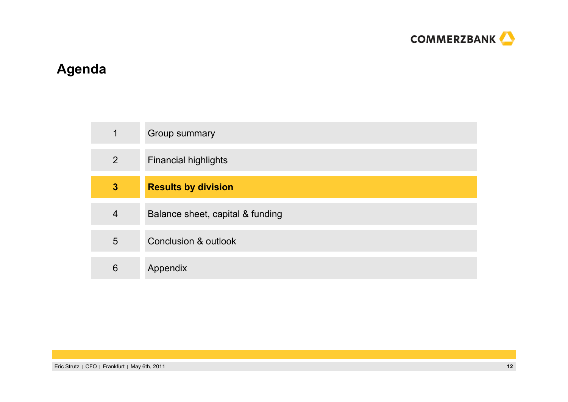

# **Agenda**

| 1              | Group summary                    |
|----------------|----------------------------------|
| $\overline{2}$ | <b>Financial highlights</b>      |
| $\mathbf{3}$   | <b>Results by division</b>       |
| $\overline{4}$ | Balance sheet, capital & funding |
| 5              | Conclusion & outlook             |
| 6              | Appendix                         |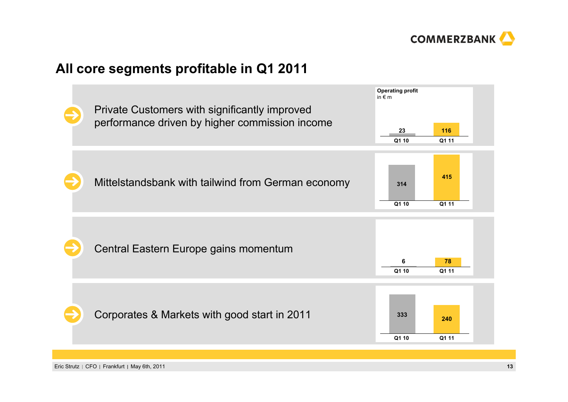

### **All core segments profitable in Q1 2011**



Eric Strutz CFO Frankfurt May 6th, 2011 **13**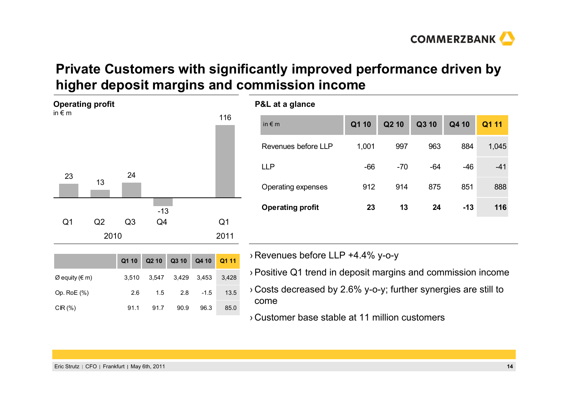

### **Private Customers with significantly improved performance driven by higher deposit margins and commission income**



|                |       | Q1 10 Q2 10 Q3 10 Q4 10 Q1 11 |             |        |       |
|----------------|-------|-------------------------------|-------------|--------|-------|
| Ø equity (€ m) | 3.510 |                               | 3.547 3.429 | 3.453  | 3.428 |
| Op. RoE (%)    | 2.6   | 1.5                           | 2.8         | $-1.5$ | 13.5  |
| CIR $(%)$      | 91.1  | 91.7                          | 90.9        | 96.3   | 85.0  |

| P&L at a glance         |       |       |       |       |       |
|-------------------------|-------|-------|-------|-------|-------|
| in $\epsilon$ m         | Q1 10 | Q2 10 | Q3 10 | Q4 10 | Q1 11 |
| Revenues before LLP     | 1,001 | 997   | 963   | 884   | 1,045 |
| <b>LLP</b>              | $-66$ | $-70$ | $-64$ | $-46$ | $-41$ |
| Operating expenses      | 912   | 914   | 875   | 851   | 888   |
| <b>Operating profit</b> | 23    | 13    | 24    | $-13$ | 116   |
|                         |       |       |       |       |       |

› Revenues before LLP +4.4% y-o-y

›Positive Q1 trend in deposit margins and commission income

› Costs decreased by 2.6% y-o-y; further synergies are still to come

› Customer base stable at 11 million customers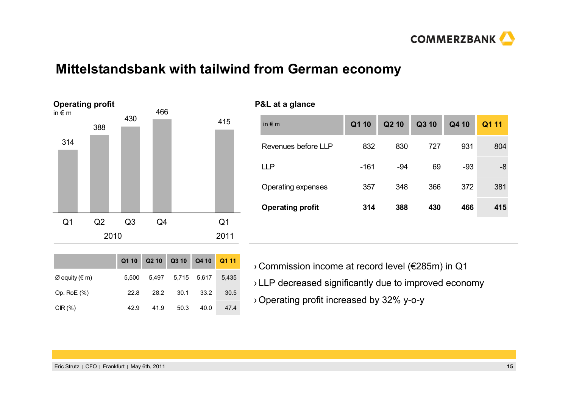

### **Mittelstandsbank with tailwind from German economy**



| <b>P&amp;L at a glance</b> |        |       |       |       |       |
|----------------------------|--------|-------|-------|-------|-------|
| in $\notin$ m              | Q1 10  | Q2 10 | Q3 10 | Q4 10 | Q1 11 |
| Revenues before LLP        | 832    | 830   | 727   | 931   | 804   |
| <b>LLP</b>                 | $-161$ | $-94$ | 69    | $-93$ | -8    |
| Operating expenses         | 357    | 348   | 366   | 372   | 381   |
| <b>Operating profit</b>    | 314    | 388   | 430   | 466   | 415   |
|                            |        |       |       |       |       |

|                |       | Q1 10 Q2 10 Q3 10 Q4 10 Q1 11 |                         |      |      |
|----------------|-------|-------------------------------|-------------------------|------|------|
| Ø equity (€ m) | 5.500 |                               | 5.497 5.715 5.617 5.435 |      |      |
| Op. RoE (%)    | 22.8  | 28.2                          | 30.1                    | 33.2 | 30.5 |
| CIR (%)        | 42.9  | 41.9                          | 50.3                    | 40.0 | 47.4 |

› Commission income at record level (€285m) in Q1 › LLP decreased significantly due to improved economy ›Operating profit increased by 32% y-o-y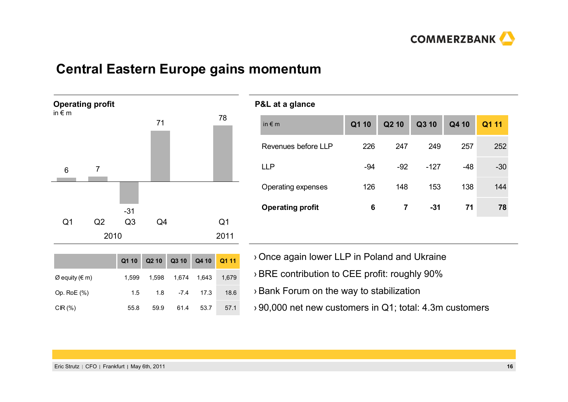

### **Central Eastern Europe gains momentum**

**Operating profit** in € m6 7 -31 71<sup>78</sup> Q1 Q2 Q3 Q4 Q1 20102011

|                |       | Q1 10 Q2 10 Q3 10 Q4 10 Q1 11 |        |             |       |
|----------------|-------|-------------------------------|--------|-------------|-------|
| Ø equity (€ m) | 1.599 | 1.598                         |        | 1,674 1,643 | 1,679 |
| Op. RoE $(\%)$ | 1.5   | 1.8                           | $-7.4$ | 17.3        | 18.6  |
| CIR $(\%)$     | 55.8  | 59.9                          | 61.4   | 53.7        | 57.1  |

| P&L at a glance         |       |                |        |       |       |
|-------------------------|-------|----------------|--------|-------|-------|
| in $\epsilon$ m         | Q1 10 | Q2 10          | Q3 10  | Q4 10 | Q1 11 |
| Revenues before LLP     | 226   | 247            | 249    | 257   | 252   |
| <b>LLP</b>              | $-94$ | $-92$          | $-127$ | $-48$ | $-30$ |
| Operating expenses      | 126   | 148            | 153    | 138   | 144   |
| <b>Operating profit</b> | 6     | $\overline{7}$ | $-31$  | 71    | 78    |
|                         |       |                |        |       |       |

- ›Once again lower LLP in Poland and Ukraine
- ›BRE contribution to CEE profit: roughly 90%
- ›Bank Forum on the way to stabilization
- › 90,000 net new customers in Q1; total: 4.3m customers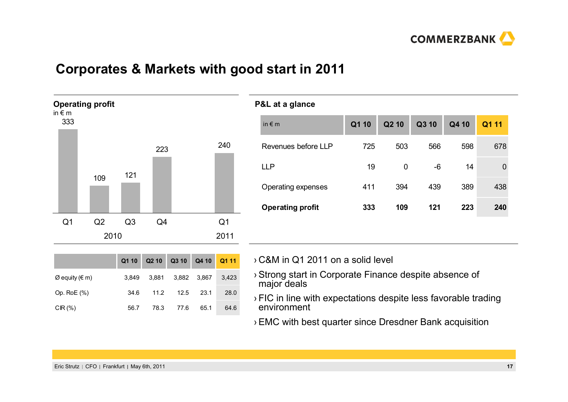

### **Corporates & Markets with good start in 2011**



| P&L at a glance         |       |       |       |       |          |
|-------------------------|-------|-------|-------|-------|----------|
| in $\epsilon$ m         | Q1 10 | Q2 10 | Q3 10 | Q4 10 | Q1 11    |
| Revenues before LLP     | 725   | 503   | 566   | 598   | 678      |
| <b>LLP</b>              | 19    | 0     | -6    | 14    | $\Omega$ |
| Operating expenses      | 411   | 394   | 439   | 389   | 438      |
| <b>Operating profit</b> | 333   | 109   | 121   | 223   | 240      |
|                         |       |       |       |       |          |

|                |       | Q1 10 Q2 10 Q3 10 Q4 10 Q1 11 |                         |             |      |
|----------------|-------|-------------------------------|-------------------------|-------------|------|
| Ø equity (€ m) | 3.849 |                               | 3,881 3,882 3,867 3,423 |             |      |
| Op. RoE (%)    | 34.6  | 11.2                          |                         | $12.5$ 23.1 | 28.0 |
| CIR(%)         | 56.7  | 78.3                          | 77.6                    | 65.1        | 64.6 |

› C&M in Q1 2011 on a solid level

- ›Strong start in Corporate Finance despite absence of major deals
- ›FIC in line with expectations despite less favorable trading environment
- ›EMC with best quarter since Dresdner Bank acquisition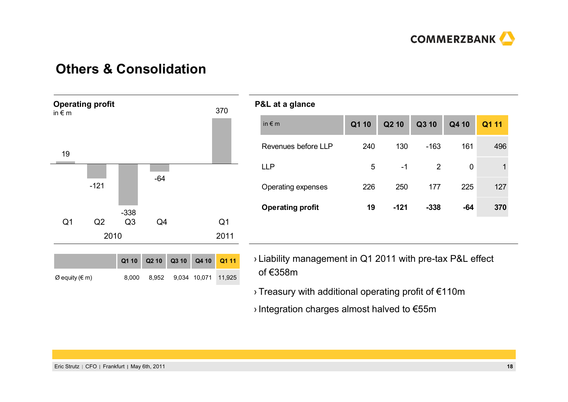

### **Others & Consolidation**



#### **P&L at a glance**

| ັ                       |       |        |        |             |       |
|-------------------------|-------|--------|--------|-------------|-------|
| in $\notin$ m           | Q1 10 | Q2 10  | Q3 10  | Q4 10       | Q1 11 |
| Revenues before LLP     | 240   | 130    | $-163$ | 161         | 496   |
| <b>LLP</b>              | 5     | $-1$   | 2      | $\mathbf 0$ | 1     |
| Operating expenses      | 226   | 250    | 177    | 225         | 127   |
| <b>Operating profit</b> | 19    | $-121$ | $-338$ | $-64$       | 370   |
|                         |       |        |        |             |       |

- › Liability management in Q1 2011 with pre-tax P&L effect of €358m
- ›Treasury with additional operating profit of €110m
- ›Integration charges almost halved to €55m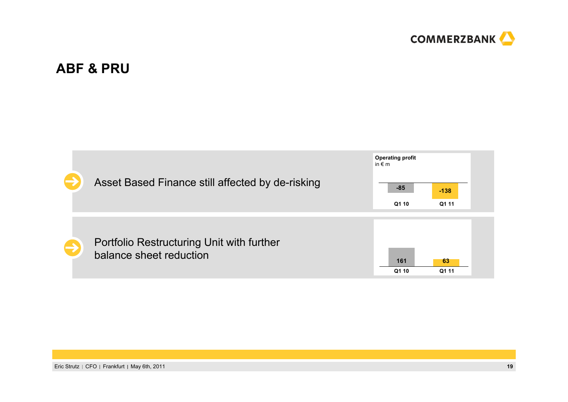

### **ABF & PRU**

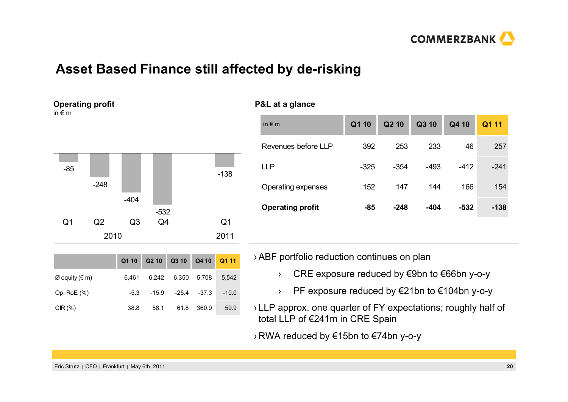

### **Asset Based Finance still affected by de-risking**

| $-85$          |        |                |                |                |
|----------------|--------|----------------|----------------|----------------|
|                |        |                |                | $-138$         |
|                | $-248$ |                |                |                |
|                |        | $-404$         |                |                |
|                |        |                | $-532$         |                |
| Q <sub>1</sub> | Q2     | Q <sub>3</sub> | Q <sub>4</sub> | Q <sub>1</sub> |
|                | 2010   |                |                | 2011           |

**Operating profit**

in € m

|                |        |      | Q1 10 Q2 10 Q3 10 Q4 10 Q1 11 |       |         |
|----------------|--------|------|-------------------------------|-------|---------|
| Ø equity (€ m) | 6.461  |      | 6,242 6,350 5,708 5,542       |       |         |
| Op. RoE $(\%)$ | $-5.3$ |      | $-15.9$ $-25.4$ $-37.3$       |       | $-10.0$ |
| CIR $(\%)$     | 38.8   | 58.1 | 61.8                          | 360.9 | 59.9    |

|                         | P&L at a glance     |        |        |        |        |        |
|-------------------------|---------------------|--------|--------|--------|--------|--------|
|                         | in $\notin$ m       | Q1 10  | Q2 10  | Q3 10  | Q4 10  | Q1 11  |
|                         | Revenues before LLP | 392    | 253    | 233    | 46     | 257    |
|                         | <b>LLP</b>          | $-325$ | $-354$ | $-493$ | $-412$ | $-241$ |
| Operating expenses      |                     | 152    | 147    | 144    | 166    | 154    |
| <b>Operating profit</b> |                     | $-85$  | $-248$ | $-404$ | $-532$ | $-138$ |
|                         |                     |        |        |        |        |        |

›ABF portfolio reduction continues on plan

- ›CRE exposure reduced by €9bn to €66bn y-o-y
- ›PF exposure reduced by €21bn to €104bn y-o-y
- › LLP approx. one quarter of FY expectations; roughly half of total LLP of €241m in CRE Spain

› RWA reduced by €15bn to €74bn y-o-y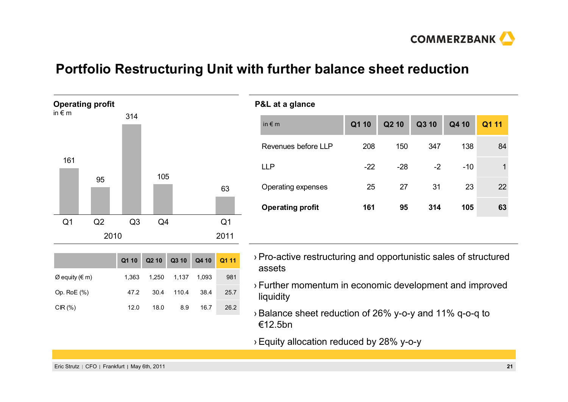

### **Portfolio Restructuring Unit with further balance sheet reduction**



| in $\notin$ m           | Q1 10 | Q <sub>2</sub> 10 | Q3 10 | Q4 10 | Q1 11 |
|-------------------------|-------|-------------------|-------|-------|-------|
| Revenues before LLP     | 208   | 150               | 347   | 138   | 84    |
| <b>LLP</b>              | $-22$ | $-28$             | $-2$  | $-10$ | 1     |
| Operating expenses      | 25    | 27                | 31    | 23    | 22    |
| <b>Operating profit</b> | 161   | 95                | 314   | 105   | 63    |
|                         |       |                   |       |       |       |

|                |       | Q1 10 Q2 10 Q3 10 Q4 10 Q1 11 |                   |      |      |
|----------------|-------|-------------------------------|-------------------|------|------|
| Ø equity (€ m) | 1.363 |                               | 1,250 1,137 1,093 |      | 981  |
| Op. Ro $E(%)$  | 47.2  | 30.4                          | 110.4             | 38.4 | 25.7 |
| CIR $(\%)$     | 12.0  | 18.0                          | 8.9               | 16.7 | 26.2 |

- ›Pro-active restructuring and opportunistic sales of structured assets
- ›Further momentum in economic development and improved liquidity
- $\rightarrow$  Balance sheet reduction of 26% y-o-y and 11% q-o-q to €12.5bn
- ›Equity allocation reduced by 28% y-o-y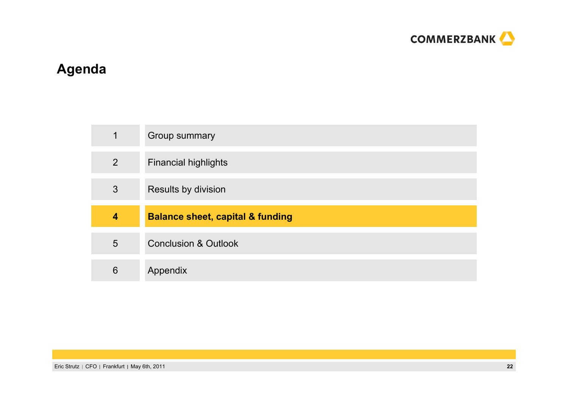

# **Agenda**

| 1                       | Group summary                               |
|-------------------------|---------------------------------------------|
| $\overline{2}$          | <b>Financial highlights</b>                 |
| 3                       | Results by division                         |
|                         |                                             |
| $\overline{\mathbf{4}}$ | <b>Balance sheet, capital &amp; funding</b> |
| 5                       | <b>Conclusion &amp; Outlook</b>             |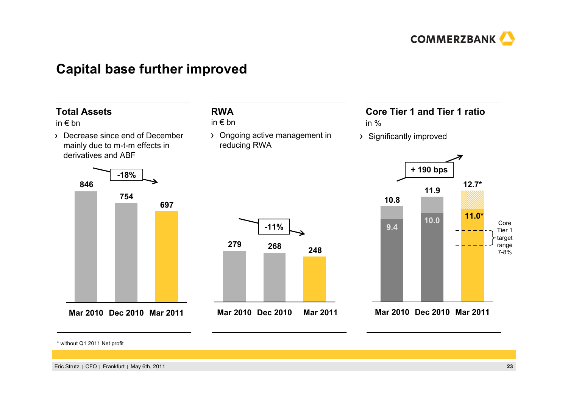

### **Capital base further improved**

#### **Core Tier 1 and Tier 1 ratio**in %**RWA**in € bn **Total Assets**in € bn **-11%-18% + 190 bps 697754846Mar 2010 Dec 2010 Mar 2011 248279 268Mar 2010 Dec 2010 Mar 2011** Decrease since end of December mainly due to m-t-m effects in derivatives and ABFOngoing active management in reducing RWA Significantly improved **9.9 10.09.0 9.4Mar 2011Dec 2010Mar 201012.7\*11.910.8**Core Tier 1target range 7-8%**11.0\***

\* without Q1 2011 Net profit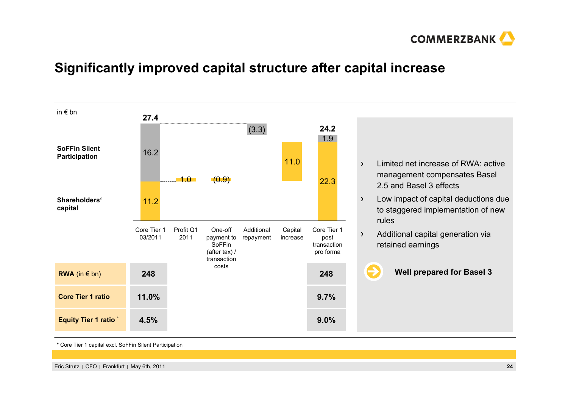

### **Significantly improved capital structure after capital increase**



\* Core Tier 1 capital excl. SoFFin Silent Participation

Eric Strutz CFO Frankfurt May 6th, 2011 **24**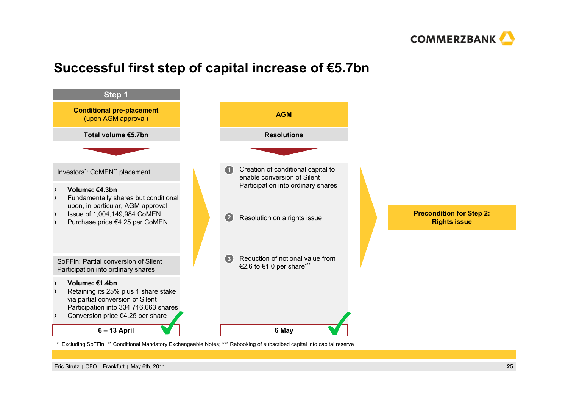

### **Successful first step of capital increase of €5.7bn**



Eric Strutz CFO Frankfurt May 6th, 2011 **25**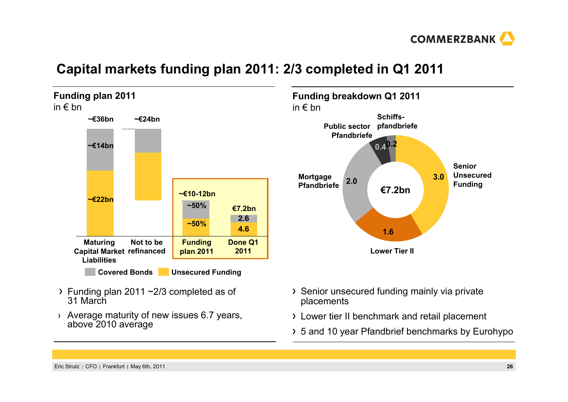

### **Capital markets funding plan 2011: 2/3 completed in Q1 2011**

**Funding plan 2011** in € bn **4.62.6Not to berefinanced Capital Market ~€24bnMaturing Liabilities~€36bn~€22bn~€14bnFunding plan 2011 ~€10-12bn~50%~50%Covered Bonds Unsecured Funding Done Q1 2011€7.2bn**

- $\rightarrow$  Funding plan 2011  $\sim$ 2/3 completed as of 31 March
- › Average maturity of new issues 6.7 years, above 2010 average



- Senior unsecured funding mainly via private placements
- Lower tier II benchmark and retail placement
- 5 and 10 year Pfandbrief benchmarks by Eurohypo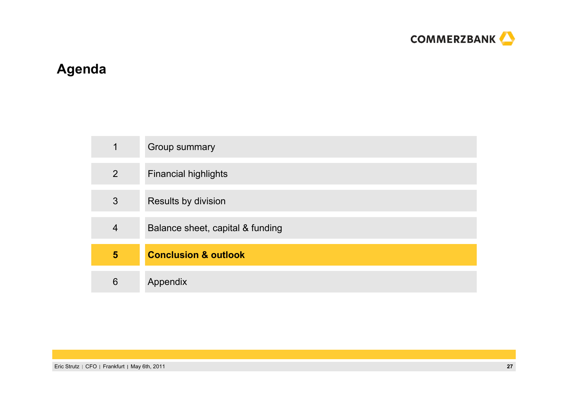

# **Agenda**

| 1              | Group summary                    |
|----------------|----------------------------------|
| $\overline{2}$ | <b>Financial highlights</b>      |
| 3              | Results by division              |
| $\overline{4}$ | Balance sheet, capital & funding |
| 5              | <b>Conclusion &amp; outlook</b>  |
| 6              | Appendix                         |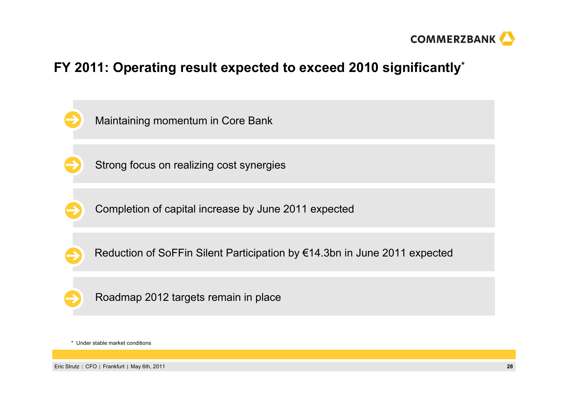

### **FY 2011: Operating result expected to exceed 2010 significantly\***



\* Under stable market conditions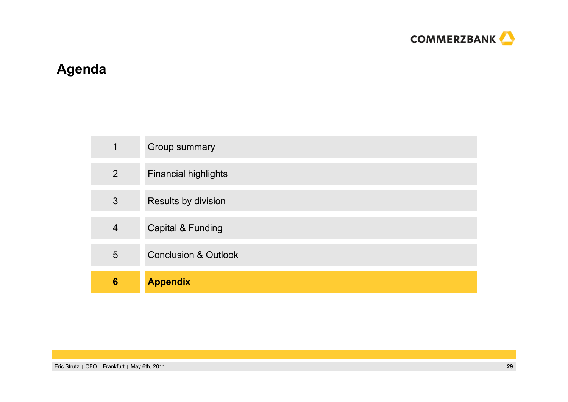

# **Agenda**

| 1               | Group summary                   |
|-----------------|---------------------------------|
| $\overline{2}$  | <b>Financial highlights</b>     |
| 3               | Results by division             |
| $\overline{4}$  | Capital & Funding               |
| 5               | <b>Conclusion &amp; Outlook</b> |
| $6\phantom{1}6$ | <b>Appendix</b>                 |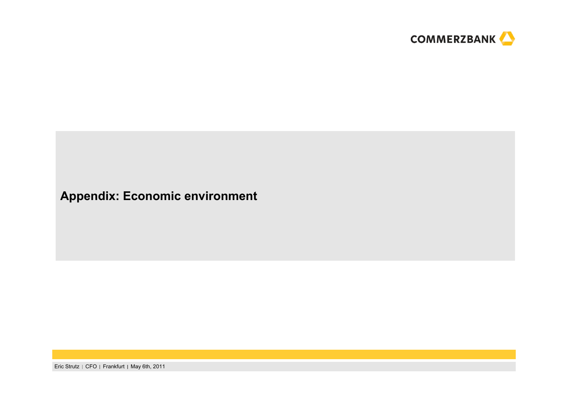

### **Appendix: Economic environment**

Eric Strutz | CFO | Frankfurt | May 6th, 2011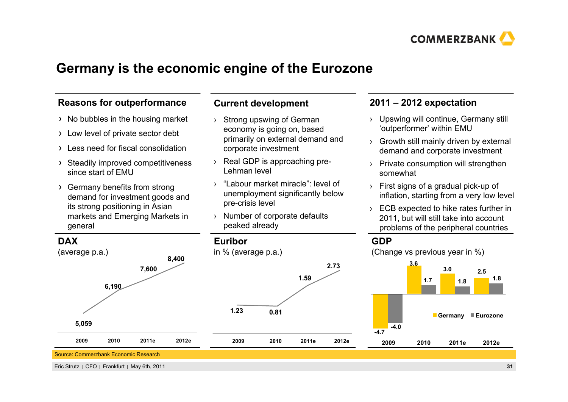

### **Germany is the economic engine of the Eurozone**

### **Reasons for outperformance**

- $\rightarrow$  No bubbles in the housing market
- Low level of private sector debt
- Less need for fiscal consolidation
- Steadily improved competitiveness since start of EMU
- Germany benefits from strong demand for investment goods and its strong positioning in Asian markets and Emerging Markets in general

### **Current development**

- › Strong upswing of German economy is going on, based primarily on external demand and corporate investment
- › Real GDP is approaching pre-Lehman level
- › "Labour market miracle": level of unemployment significantly below pre-crisis level
- › Number of corporate defaults peaked already

**0.81**

**2009 2010**

**Euribor**

**1.23**

in % (average p.a.)

### **2011 – 2012 expectation**

- › Upswing will continue, Germany still 'outperformer' within EMU
- › Growth still mainly driven by external demand and corporate investment
- › Private consumption will strengthen somewhat
- › First signs of a gradual pick-up of inflation, starting from a very low level
- › ECB expected to hike rates further in 2011, but will still take into account problems of the peripheral countries

### **GDP**

**2.73**

**2011e 2012e**

**1.59**

(Change vs previous year in %)



**DAX** 



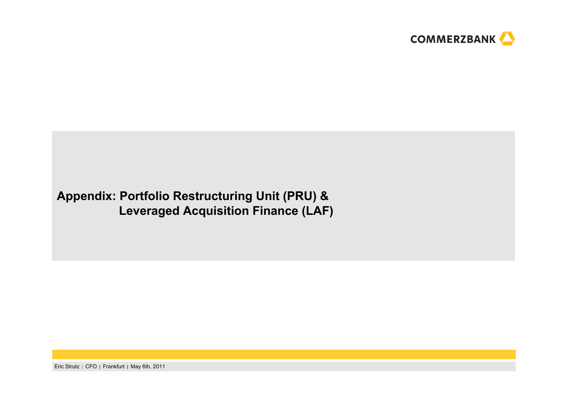

### **Appendix: Portfolio Restructuring Unit (PRU) & Leveraged Acquisition Finance (LAF)**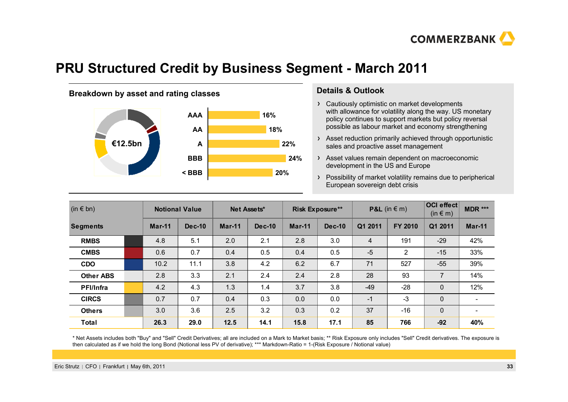

### **PRU Structured Credit by Business Segment - March 2011**

### **Breakdown by asset and rating classes <b>Details & Outlook**



- Cautiously optimistic on market developments with allowance for volatility along the way. US monetary policy continues to support markets but policy reversal possible as labour market and economy strengthening
- Asset reduction primarily achieved through opportunistic sales and proactive asset management
- Asset values remain dependent on macroeconomic development in the US and Europe
- Possibility of market volatility remains due to peripherical European sovereign debt crisis

| $(in \in bn)$    |  | <b>Notional Value</b> |          | Net Assets* |          | <b>Risk Exposure**</b> |          | <b>P&amp;L</b> (in $\in$ m) |         | OCI effect<br>$(in \in m)$ | MDR ***                  |
|------------------|--|-----------------------|----------|-------------|----------|------------------------|----------|-----------------------------|---------|----------------------------|--------------------------|
| <b>Segments</b>  |  | Mar-11                | $Dec-10$ | Mar-11      | $Dec-10$ | $Mar-11$               | $Dec-10$ | Q1 2011                     | FY 2010 | Q1 2011                    | $Mar-11$                 |
| <b>RMBS</b>      |  | 4.8                   | 5.1      | 2.0         | 2.1      | 2.8                    | 3.0      | 4                           | 191     | $-29$                      | 42%                      |
| <b>CMBS</b>      |  | 0.6                   | 0.7      | 0.4         | 0.5      | 0.4                    | 0.5      | $-5$                        | 2       | $-15$                      | 33%                      |
| <b>CDO</b>       |  | 10.2                  | 11.1     | 3.8         | 4.2      | 6.2                    | 6.7      | 71                          | 527     | $-55$                      | 39%                      |
| <b>Other ABS</b> |  | 2.8                   | 3.3      | 2.1         | 2.4      | 2.4                    | 2.8      | 28                          | 93      | $\overline{7}$             | 14%                      |
| <b>PFI/Infra</b> |  | 4.2                   | 4.3      | 1.3         | 1.4      | 3.7                    | 3.8      | $-49$                       | $-28$   | 0                          | 12%                      |
| <b>CIRCS</b>     |  | 0.7                   | 0.7      | 0.4         | 0.3      | 0.0                    | 0.0      | $-1$                        | $-3$    | 0                          | $\overline{\phantom{0}}$ |
| <b>Others</b>    |  | 3.0                   | 3.6      | 2.5         | 3.2      | 0.3                    | 0.2      | 37                          | $-16$   | $\Omega$                   | $\overline{\phantom{0}}$ |
| <b>Total</b>     |  | 26.3                  | 29.0     | 12.5        | 14.1     | 15.8                   | 17.1     | 85                          | 766     | $-92$                      | 40%                      |

\* Net Assets includes both "Buy" and "Sell" Credit Derivatives; all are included on a Mark to Market basis; \*\* Risk Exposure only includes "Sell" Credit derivatives. The exposure is then calculated as if we hold the long Bond (Notional less PV of derivative); \*\*\* Markdown-Ratio = 1-(Risk Exposure / Notional value)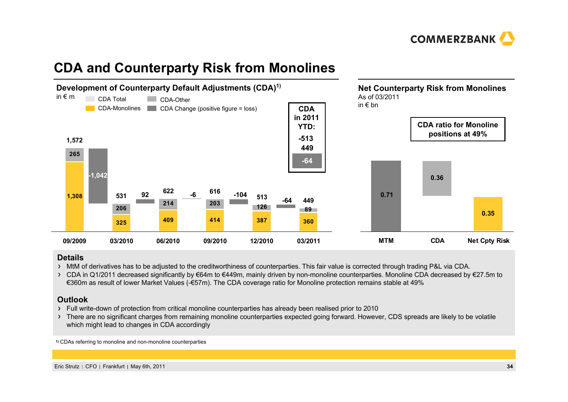

### **CDA and Counterparty Risk from Monolines**



#### **Details**

MtM of derivatives has to be adjusted to the creditworthiness of counterparties. This fair value is corrected through trading P&L via CDA.

> CDA in Q1/2011 decreased significantly by €64m to €449m, mainly driven by non-monoline counterparties. Monoline CDA decreased by €27.5m to €360m as result of lower Market Values (-€57m). The CDA coverage ratio for Monoline protection remains stable at 49%

#### **Outlook**

- Full write-down of protection from critical monoline counterparties has already been realised prior to 2010
- > There are no significant charges from remaining monoline counterparties expected going forward. However, CDS spreads are likely to be volatile which might lead to changes in CDA accordingly

**1)** CDAs referring to monoline and non-monoline counterparties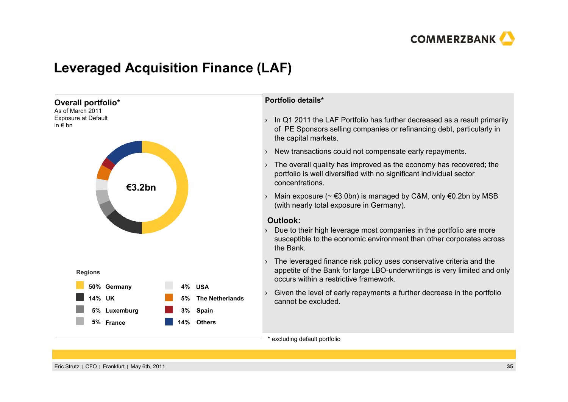

### **Leveraged Acquisition Finance (LAF)**

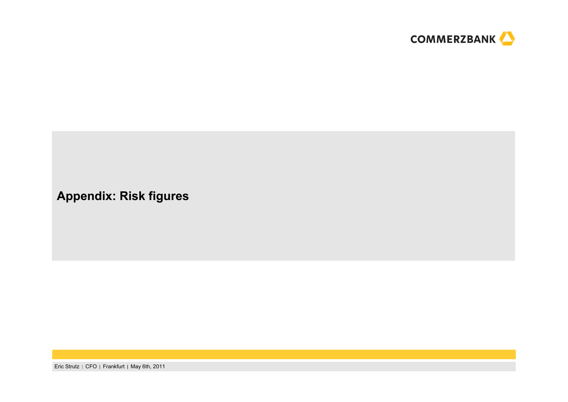

### **Appendix: Risk figures**

Eric Strutz | CFO | Frankfurt | May 6th, 2011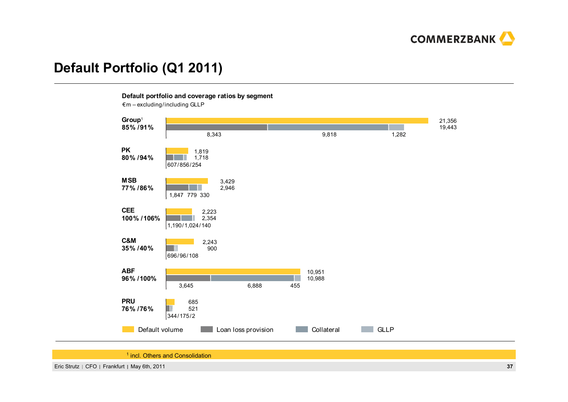

### **Default Portfolio (Q1 2011)**

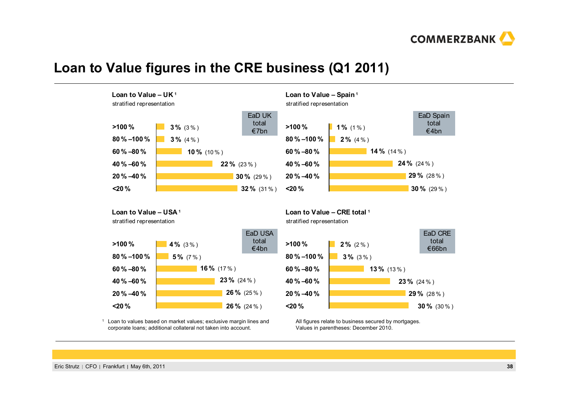

### **Loan to Value figures in the CRE business (Q1 2011)**





### **Loan to Value – Spain <sup>1</sup>**

**Loan to Value – USA <sup>1</sup>**

stratified representation



1 Loan to values based on market values; exclusive margin lines and corporate loans; additional collateral not taken into account.

**Loan to Value – CRE total <sup>1</sup>**

stratified representation



All figures relate to business secured by mortgages. Values in parentheses: December 2010.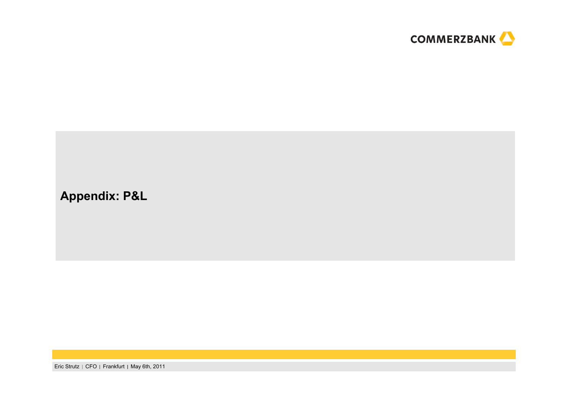

### **Appendix: P&L**

Eric Strutz | CFO | Frankfurt | May 6th, 2011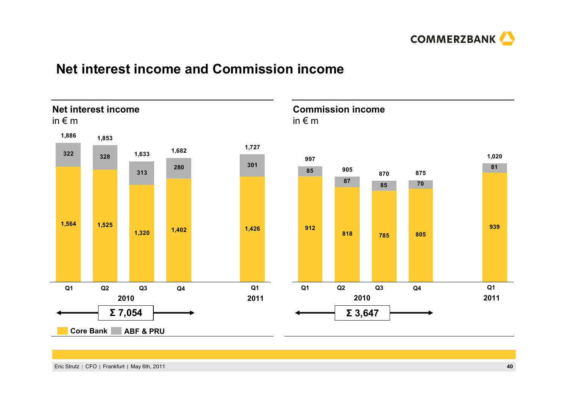

### **Net interest income and Commission income**

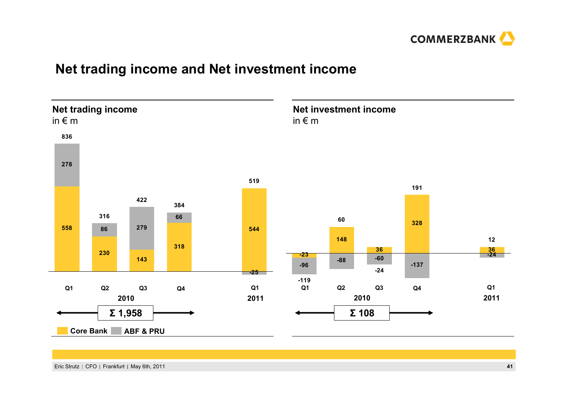

### **Net trading income and Net investment income**

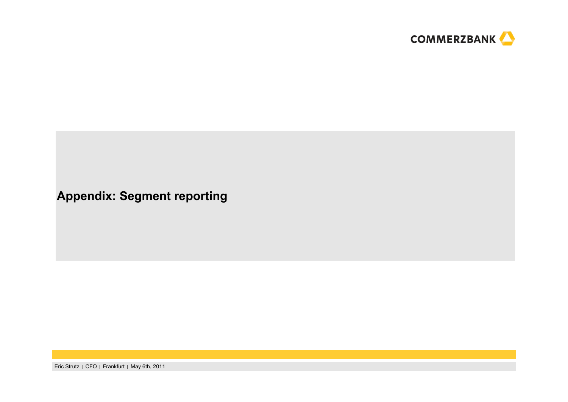

### **Appendix: Segment reporting**

Eric Strutz | CFO | Frankfurt | May 6th, 2011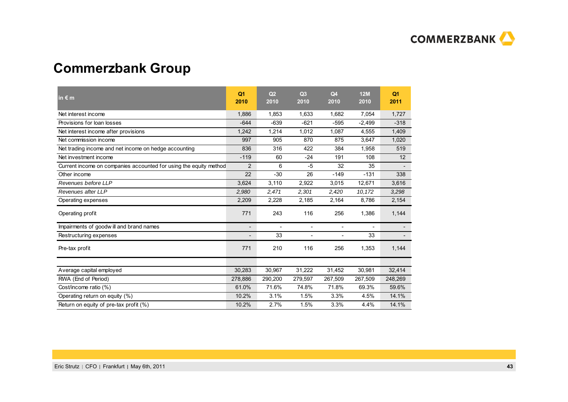

# **Commerzbank Group**

| in $\epsilon$ m                                                   | Q <sub>1</sub><br>2010   | Q <sub>2</sub><br>2010 | Q <sub>3</sub><br>2010 | Q <sub>4</sub><br>2010 | <b>12M</b><br>2010       | Q <sub>1</sub><br>2011 |
|-------------------------------------------------------------------|--------------------------|------------------------|------------------------|------------------------|--------------------------|------------------------|
| Net interest income                                               | 1,886                    | 1,853                  | 1,633                  | 1,682                  | 7,054                    | 1,727                  |
| Provisions for loan losses                                        | $-644$                   | $-639$                 | $-621$                 | $-595$                 | $-2,499$                 | $-318$                 |
| Net interest income after provisions                              | 1,242                    | 1,214                  | 1,012                  | 1,087                  | 4,555                    | 1,409                  |
| Net commission income                                             | 997                      | 905                    | 870                    | 875                    | 3,647                    | 1,020                  |
| Net trading income and net income on hedge accounting             | 836                      | 316                    | 422                    | 384                    | 1,958                    | 519                    |
| Net investment income                                             | $-119$                   | 60                     | $-24$                  | 191                    | 108                      | 12 <sup>2</sup>        |
| Current income on companies accounted for using the equity method | $\overline{2}$           | 6                      | $-5$                   | 32                     | 35                       |                        |
| Other income                                                      | 22                       | $-30$                  | 26                     | $-149$                 | $-131$                   | 338                    |
| Revenues before LLP                                               | 3,624                    | 3,110                  | 2,922                  | 3,015                  | 12,671                   | 3,616                  |
| Revenues after LLP                                                | 2,980                    | 2,471                  | 2,301                  | 2,420                  | 10,172                   | 3,298                  |
| Operating expenses                                                | 2,209                    | 2,228                  | 2,185                  | 2,164                  | 8,786                    | 2,154                  |
| Operating profit                                                  | 771                      | 243                    | 116                    | 256                    | 1,386                    | 1,144                  |
| Impairments of goodwill and brand names                           | $\overline{\phantom{a}}$ | $\blacksquare$         | $\blacksquare$         | $\blacksquare$         | $\overline{\phantom{a}}$ |                        |
| Restructuring expenses                                            |                          | 33                     | $\overline{a}$         | $\overline{a}$         | 33                       |                        |
| Pre-tax profit                                                    | 771                      | 210                    | 116                    | 256                    | 1,353                    | 1,144                  |
| Average capital employed                                          | 30,283                   | 30,967                 | 31,222                 | 31,452                 | 30,981                   | 32,414                 |
| RWA (End of Period)                                               | 278,886                  | 290,200                | 279,597                | 267,509                | 267,509                  | 248,269                |
| Cost/income ratio (%)                                             | 61.0%                    | 71.6%                  | 74.8%                  | 71.8%                  | 69.3%                    | 59.6%                  |
| Operating return on equity (%)                                    | 10.2%                    | 3.1%                   | 1.5%                   | 3.3%                   | 4.5%                     | 14.1%                  |
| Return on equity of pre-tax profit (%)                            | 10.2%                    | 2.7%                   | 1.5%                   | 3.3%                   | 4.4%                     | 14.1%                  |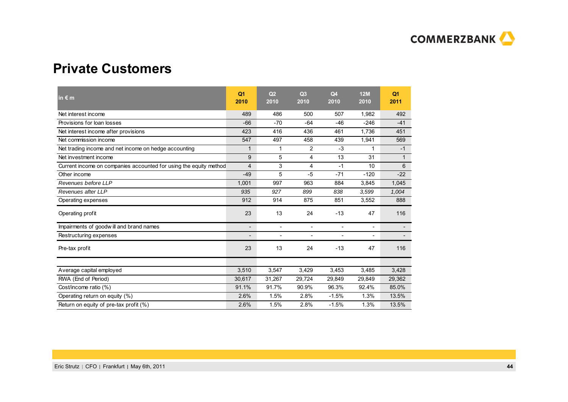

### **Private Customers**

| in $\epsilon$ m                                                   | Q <sub>1</sub><br>2010   | Q <sub>2</sub><br>2010   | Q <sub>3</sub><br>2010   | Q <sub>4</sub><br>2010   | <b>12M</b><br>2010       | Q <sub>1</sub><br>2011 |
|-------------------------------------------------------------------|--------------------------|--------------------------|--------------------------|--------------------------|--------------------------|------------------------|
| Net interest income                                               | 489                      | 486                      | 500                      | 507                      | 1,982                    | 492                    |
| Provisions for loan losses                                        | $-66$                    | $-70$                    | $-64$                    | $-46$                    | $-246$                   | $-41$                  |
| Net interest income after provisions                              | 423                      | 416                      | 436                      | 461                      | 1.736                    | 451                    |
| Net commission income                                             | 547                      | 497                      | 458                      | 439                      | 1,941                    | 569                    |
| Net trading income and net income on hedge accounting             | 1                        | 1                        | 2                        | $-3$                     | 1                        | $-1$                   |
| Net investment income                                             | 9                        | 5                        | 4                        | 13                       | 31                       | $\mathbf{1}$           |
| Current income on companies accounted for using the equity method | $\overline{4}$           | 3                        | 4                        | $-1$                     | 10                       | 6                      |
| Other income                                                      | $-49$                    | 5                        | $-5$                     | $-71$                    | $-120$                   | $-22$                  |
| Revenues before LLP                                               | 1,001                    | 997                      | 963                      | 884                      | 3,845                    | 1,045                  |
| Revenues after LLP                                                | 935                      | 927                      | 899                      | 838                      | 3,599                    | 1,004                  |
| Operating expenses                                                | 912                      | 914                      | 875                      | 851                      | 3,552                    | 888                    |
| Operating profit                                                  | 23                       | 13                       | 24                       | $-13$                    | 47                       | 116                    |
| Impairments of goodwill and brand names                           | $\overline{\phantom{a}}$ | $\overline{\phantom{a}}$ | $\overline{\phantom{a}}$ | $\overline{\phantom{a}}$ | $\overline{\phantom{a}}$ |                        |
| Restructuring expenses                                            | $\overline{\phantom{a}}$ | $\overline{\phantom{a}}$ | $\overline{\phantom{a}}$ | $\overline{\phantom{a}}$ |                          |                        |
| Pre-tax profit                                                    | 23                       | 13                       | 24                       | $-13$                    | 47                       | 116                    |
|                                                                   |                          |                          |                          |                          |                          |                        |
| Average capital employed                                          | 3.510                    | 3.547                    | 3,429                    | 3,453                    | 3,485                    | 3,428                  |
| RWA (End of Period)                                               | 30,617                   | 31,267                   | 29,724                   | 29,849                   | 29,849                   | 29,362                 |
| Cost/income ratio (%)                                             | 91.1%                    | 91.7%                    | 90.9%                    | 96.3%                    | 92.4%                    | 85.0%                  |
| Operating return on equity (%)                                    | 2.6%                     | 1.5%                     | 2.8%                     | $-1.5%$                  | 1.3%                     | 13.5%                  |
| Return on equity of pre-tax profit (%)                            | 2.6%                     | 1.5%                     | 2.8%                     | $-1.5%$                  | 1.3%                     | 13.5%                  |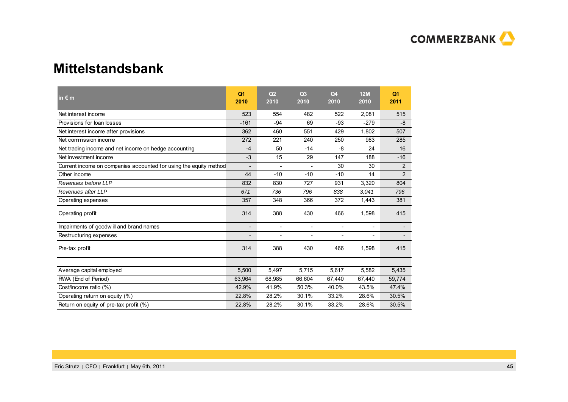

### **Mittelstandsbank**

| in $\epsilon$ m                                                   | Q <sub>1</sub><br>2010   | Q <sub>2</sub><br>2010   | Q <sub>3</sub><br>2010   | Q <sub>4</sub><br>2010   | <b>12M</b><br>2010       | Q <sub>1</sub><br>2011   |
|-------------------------------------------------------------------|--------------------------|--------------------------|--------------------------|--------------------------|--------------------------|--------------------------|
| Net interest income                                               | 523                      | 554                      | 482                      | 522                      | 2,081                    | 515                      |
| Provisions for loan losses                                        | $-161$                   | $-94$                    | 69                       | $-93$                    | $-279$                   | -8                       |
| Net interest income after provisions                              | 362                      | 460                      | 551                      | 429                      | 1,802                    | 507                      |
| Net commission income                                             | 272                      | 221                      | 240                      | 250                      | 983                      | 285                      |
| Net trading income and net income on hedge accounting             | $-4$                     | 50                       | $-14$                    | -8                       | 24                       | 16                       |
| Net investment income                                             | $-3$                     | 15                       | 29                       | 147                      | 188                      | $-16$                    |
| Current income on companies accounted for using the equity method | $\overline{\phantom{a}}$ | $\overline{\phantom{a}}$ |                          | 30                       | 30                       | 2                        |
| Other income                                                      | 44                       | $-10$                    | $-10$                    | $-10$                    | 14                       | $\overline{2}$           |
| Revenues before LLP                                               | 832                      | 830                      | 727                      | 931                      | 3,320                    | 804                      |
| Revenues after LLP                                                | 671                      | 736                      | 796                      | 838                      | 3,041                    | 796                      |
| Operating expenses                                                | 357                      | 348                      | 366                      | 372                      | 1,443                    | 381                      |
| Operating profit                                                  | 314                      | 388                      | 430                      | 466                      | 1,598                    | 415                      |
| Impairments of goodwill and brand names                           | $\overline{\phantom{a}}$ | $\overline{\phantom{a}}$ | $\overline{\phantom{a}}$ | $\overline{\phantom{a}}$ | $\overline{\phantom{a}}$ | $\overline{\phantom{a}}$ |
| Restructuring expenses                                            | $\overline{\phantom{a}}$ | $\overline{\phantom{a}}$ | $\overline{a}$           | $\overline{a}$           |                          |                          |
| Pre-tax profit                                                    | 314                      | 388                      | 430                      | 466                      | 1,598                    | 415                      |
|                                                                   |                          |                          |                          |                          |                          |                          |
| Average capital employed                                          | 5.500                    | 5.497                    | 5.715                    | 5,617                    | 5,582                    | 5,435                    |
| RWA (End of Period)                                               | 63,964                   | 68,985                   | 66,604                   | 67,440                   | 67,440                   | 59,774                   |
| Cost/income ratio (%)                                             | 42.9%                    | 41.9%                    | 50.3%                    | 40.0%                    | 43.5%                    | 47.4%                    |
| Operating return on equity (%)                                    | 22.8%                    | 28.2%                    | 30.1%                    | 33.2%                    | 28.6%                    | 30.5%                    |
| Return on equity of pre-tax profit (%)                            | 22.8%                    | 28.2%                    | 30.1%                    | 33.2%                    | 28.6%                    | 30.5%                    |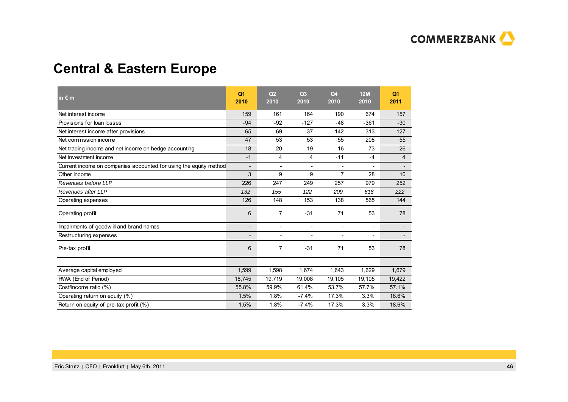

### **Central & Eastern Europe**

| in $\epsilon$ m                                                   | Q <sub>1</sub><br>2010   | O <sub>2</sub><br>2010   | Q <sub>3</sub><br>2010   | Q <sub>4</sub><br>2010   | 12M<br>2010              | Q <sub>1</sub><br>2011   |
|-------------------------------------------------------------------|--------------------------|--------------------------|--------------------------|--------------------------|--------------------------|--------------------------|
| Net interest income                                               | 159                      | 161                      | 164                      | 190                      | 674                      | 157                      |
| Provisions for loan losses                                        | $-94$                    | $-92$                    | $-127$                   | $-48$                    | $-361$                   | $-30$                    |
| Net interest income after provisions                              | 65                       | 69                       | 37                       | 142                      | 313                      | 127                      |
| Net commission income                                             | 47                       | 53                       | 53                       | 55                       | 208                      | 55                       |
| Net trading income and net income on hedge accounting             | 18                       | 20                       | 19                       | 16                       | 73                       | 26                       |
| Net investment income                                             | $-1$                     | 4                        | 4                        | $-11$                    | $-4$                     | 4                        |
| Current income on companies accounted for using the equity method | $\overline{\phantom{a}}$ | $\overline{\phantom{a}}$ | $\overline{\phantom{a}}$ | $\overline{\phantom{a}}$ | $\overline{\phantom{a}}$ | $\overline{\phantom{a}}$ |
| Other income                                                      | 3                        | 9                        | 9                        | 7                        | 28                       | 10                       |
| Revenues before LLP                                               | 226                      | 247                      | 249                      | 257                      | 979                      | 252                      |
| Revenues after LLP                                                | 132                      | 155                      | 122                      | 209                      | 618                      | 222                      |
| Operating expenses                                                | 126                      | 148                      | 153                      | 138                      | 565                      | 144                      |
| Operating profit                                                  | 6                        | $\overline{7}$           | $-31$                    | 71                       | 53                       | 78                       |
| Impairments of goodwill and brand names                           | $\overline{a}$           | $\blacksquare$           | $\blacksquare$           | $\blacksquare$           | $\overline{\phantom{a}}$ |                          |
| Restructuring expenses                                            | $\overline{\phantom{0}}$ | $\overline{a}$           |                          | $\overline{\phantom{a}}$ |                          | $\overline{\phantom{0}}$ |
| Pre-tax profit                                                    | 6                        | $\overline{7}$           | $-31$                    | 71                       | 53                       | 78                       |
|                                                                   |                          |                          |                          |                          |                          |                          |
| Average capital employed                                          | 1,599                    | 1,598                    | 1,674                    | 1,643                    | 1,629                    | 1,679                    |
| RWA (End of Period)                                               | 18,745                   | 19,719                   | 19,008                   | 19,105                   | 19,105                   | 19,422                   |
| Cost/income ratio (%)                                             | 55.8%                    | 59.9%                    | 61.4%                    | 53.7%                    | 57.7%                    | 57.1%                    |
| Operating return on equity (%)                                    | 1.5%                     | 1.8%                     | $-7.4%$                  | 17.3%                    | 3.3%                     | 18.6%                    |
| Return on equity of pre-tax profit (%)                            | 1.5%                     | 1.8%                     | $-7.4%$                  | 17.3%                    | 3.3%                     | 18.6%                    |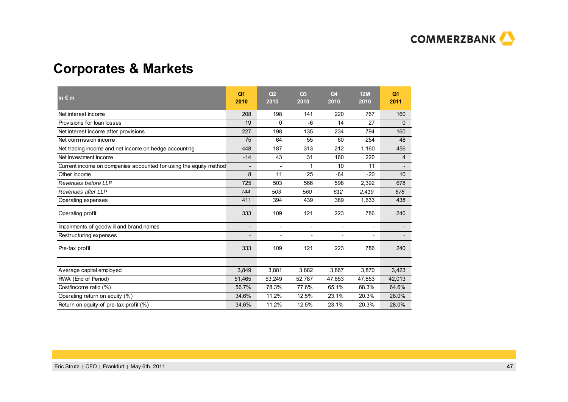

### **Corporates & Markets**

| in $\epsilon$ m                                                   | Q <sub>1</sub><br>2010   | Q <sub>2</sub><br>2010   | Q <sub>3</sub><br>2010   | Q <sub>4</sub><br>2010   | 12M<br>2010              | Q <sub>1</sub><br>2011   |
|-------------------------------------------------------------------|--------------------------|--------------------------|--------------------------|--------------------------|--------------------------|--------------------------|
| Net interest income                                               | 208                      | 198                      | 141                      | 220                      | 767                      | 160                      |
| Provisions for loan losses                                        | 19                       | $\Omega$                 | $-6$                     | 14                       | 27                       | 0                        |
| Net interest income after provisions                              | 227                      | 198                      | 135                      | 234                      | 794                      | 160                      |
| Net commission income                                             | 75                       | 64                       | 55                       | 60                       | 254                      | 48                       |
| Net trading income and net income on hedge accounting             | 448                      | 187                      | 313                      | 212                      | 1,160                    | 456                      |
| Net investment income                                             | $-14$                    | 43                       | 31                       | 160                      | 220                      | 4                        |
| Current income on companies accounted for using the equity method | $\overline{\phantom{a}}$ | $\overline{a}$           | 1                        | 10                       | 11                       | $\overline{\phantom{a}}$ |
| Other income                                                      | 8                        | 11                       | 25                       | $-64$                    | $-20$                    | 10                       |
| Revenues before LLP                                               | 725                      | 503                      | 566                      | 598                      | 2,392                    | 678                      |
| Revenues after LLP                                                | 744                      | 503                      | 560                      | 612                      | 2,419                    | 678                      |
| Operating expenses                                                | 411                      | 394                      | 439                      | 389                      | 1,633                    | 438                      |
| Operating profit                                                  | 333                      | 109                      | 121                      | 223                      | 786                      | 240                      |
| Impairments of goodwill and brand names                           | $\overline{\phantom{a}}$ | $\overline{\phantom{a}}$ | $\overline{\phantom{a}}$ | $\overline{\phantom{a}}$ | $\overline{\phantom{a}}$ |                          |
| Restructuring expenses                                            | $\overline{\phantom{a}}$ | $\overline{\phantom{a}}$ | $\overline{\phantom{a}}$ | $\overline{\phantom{a}}$ |                          | $\overline{\phantom{a}}$ |
| Pre-tax profit                                                    | 333                      | 109                      | 121                      | 223                      | 786                      | 240                      |
|                                                                   |                          |                          |                          |                          |                          |                          |
| Average capital employed                                          | 3.849                    | 3.881                    | 3.882                    | 3,867                    | 3.870                    | 3,423                    |
| RWA (End of Period)                                               | 51,465                   | 53,249                   | 52,787                   | 47,853                   | 47,853                   | 42,013                   |
| Cost/income ratio (%)                                             | 56.7%                    | 78.3%                    | 77.6%                    | 65.1%                    | 68.3%                    | 64.6%                    |
| Operating return on equity (%)                                    | 34.6%                    | 11.2%                    | 12.5%                    | 23.1%                    | 20.3%                    | 28.0%                    |
| Return on equity of pre-tax profit (%)                            | 34.6%                    | 11.2%                    | 12.5%                    | 23.1%                    | 20.3%                    | 28.0%                    |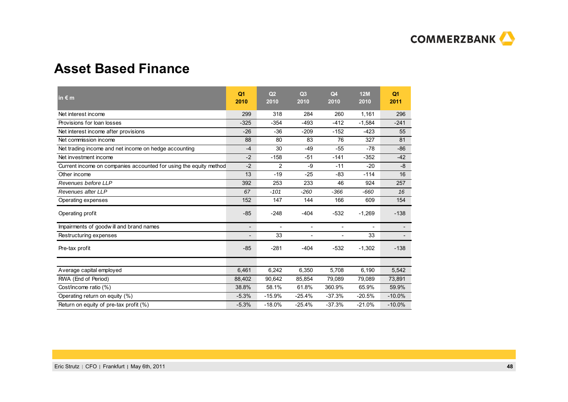

### **Asset Based Finance**

| in $\epsilon$ m                                                   | Q <sub>1</sub><br>2010   | O <sub>2</sub><br>2010   | Q <sub>3</sub><br>2010   | Q <sub>4</sub><br>2010   | 12M<br>2010 | Q <sub>1</sub><br>2011 |
|-------------------------------------------------------------------|--------------------------|--------------------------|--------------------------|--------------------------|-------------|------------------------|
| Net interest income                                               | 299                      | 318                      | 284                      | 260                      | 1,161       | 296                    |
| Provisions for loan losses                                        | $-325$                   | $-354$                   | $-493$                   | $-412$                   | $-1,584$    | $-241$                 |
| Net interest income after provisions                              | $-26$                    | $-36$                    | $-209$                   | $-152$                   | $-423$      | 55                     |
| Net commission income                                             | 88                       | 80                       | 83                       | 76                       | 327         | 81                     |
| Net trading income and net income on hedge accounting             | $-4$                     | 30                       | $-49$                    | $-55$                    | $-78$       | $-86$                  |
| Net investment income                                             | $-2$                     | $-158$                   | $-51$                    | $-141$                   | $-352$      | $-42$                  |
| Current income on companies accounted for using the equity method | $-2$                     | $\overline{2}$           | -9                       | $-11$                    | $-20$       | -8                     |
| Other income                                                      | 13                       | $-19$                    | $-25$                    | $-83$                    | $-114$      | 16                     |
| Revenues before LLP                                               | 392                      | 253                      | 233                      | 46                       | 924         | 257                    |
| Revenues after LLP                                                | 67                       | $-101$                   | $-260$                   | $-366$                   | $-660$      | 16                     |
| Operating expenses                                                | 152                      | 147                      | 144                      | 166                      | 609         | 154                    |
| Operating profit                                                  | $-85$                    | $-248$                   | $-404$                   | $-532$                   | $-1,269$    | $-138$                 |
| Impairments of goodwill and brand names                           | $\overline{\phantom{a}}$ | $\overline{\phantom{a}}$ | $\overline{\phantom{a}}$ | $\overline{\phantom{a}}$ |             |                        |
| Restructuring expenses                                            |                          | 33                       | $\overline{\phantom{a}}$ | $\overline{a}$           | 33          |                        |
| Pre-tax profit                                                    | $-85$                    | $-281$                   | $-404$                   | $-532$                   | $-1,302$    | $-138$                 |
|                                                                   |                          |                          |                          |                          |             |                        |
| Average capital employed                                          | 6,461                    | 6,242                    | 6,350                    | 5,708                    | 6,190       | 5,542                  |
| RWA (End of Period)                                               | 88,402                   | 90,642                   | 85,854                   | 79,089                   | 79,089      | 73,891                 |
| Cost/income ratio (%)                                             | 38.8%                    | 58.1%                    | 61.8%                    | 360.9%                   | 65.9%       | 59.9%                  |
| Operating return on equity (%)                                    | $-5.3%$                  | $-15.9%$                 | $-25.4%$                 | $-37.3%$                 | $-20.5%$    | $-10.0%$               |
| Return on equity of pre-tax profit (%)                            | $-5.3%$                  | $-18.0%$                 | $-25.4%$                 | $-37.3%$                 | $-21.0%$    | $-10.0%$               |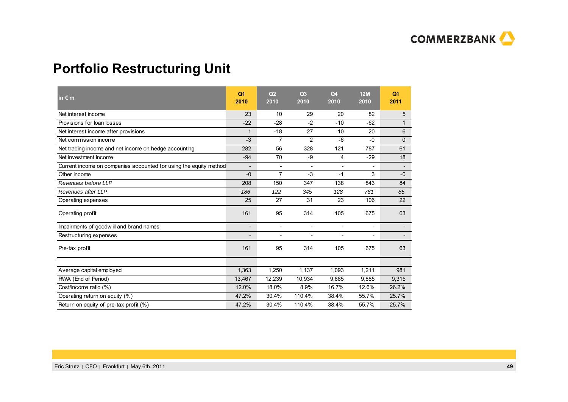

### **Portfolio Restructuring Unit**

| in $\epsilon$ m                                                   | Q <sub>1</sub><br>2010   | O <sub>2</sub><br>2010   | Q <sub>3</sub><br>2010 | Q <sub>4</sub><br>2010   | 12M<br>2010              | Q <sub>1</sub><br>2011   |
|-------------------------------------------------------------------|--------------------------|--------------------------|------------------------|--------------------------|--------------------------|--------------------------|
| Net interest income                                               | 23                       | 10                       | 29                     | 20                       | 82                       | 5                        |
| Provisions for loan losses                                        | $-22$                    | $-28$                    | $-2$                   | $-10$                    | $-62$                    | $\mathbf{1}$             |
| Net interest income after provisions                              | $\mathbf{1}$             | $-18$                    | 27                     | 10                       | 20                       | 6                        |
| Net commission income                                             | $-3$                     | $\overline{7}$           | $\overline{2}$         | $-6$                     | $-0$                     | $\Omega$                 |
| Net trading income and net income on hedge accounting             | 282                      | 56                       | 328                    | 121                      | 787                      | 61                       |
| Net investment income                                             | $-94$                    | 70                       | -9                     | 4                        | $-29$                    | 18                       |
| Current income on companies accounted for using the equity method | $\overline{\phantom{a}}$ | $\overline{\phantom{a}}$ | $\blacksquare$         | $\blacksquare$           | $\blacksquare$           | $\overline{\phantom{a}}$ |
| Other income                                                      | $-0$                     | $\overline{7}$           | $-3$                   | $-1$                     | 3                        | $-0$                     |
| Revenues before LLP                                               | 208                      | 150                      | 347                    | 138                      | 843                      | 84                       |
| Revenues after LLP                                                | 186                      | 122                      | 345                    | 128                      | 781                      | 85                       |
| Operating expenses                                                | 25                       | 27                       | 31                     | 23                       | 106                      | 22                       |
| Operating profit                                                  | 161                      | 95                       | 314                    | 105                      | 675                      | 63                       |
| Impairments of goodwill and brand names                           | $\overline{\phantom{0}}$ | $\overline{\phantom{a}}$ |                        | $\blacksquare$           | $\overline{\phantom{a}}$ |                          |
| Restructuring expenses                                            |                          | $\blacksquare$           |                        | $\overline{\phantom{a}}$ |                          |                          |
| Pre-tax profit                                                    | 161                      | 95                       | 314                    | 105                      | 675                      | 63                       |
|                                                                   |                          |                          |                        |                          |                          |                          |
| Average capital employed                                          | 1,363                    | 1,250                    | 1,137                  | 1,093                    | 1,211                    | 981                      |
| RWA (End of Period)                                               | 13,467                   | 12,239                   | 10,934                 | 9,885                    | 9,885                    | 9,315                    |
| Cost/income ratio (%)                                             | 12.0%                    | 18.0%                    | 8.9%                   | 16.7%                    | 12.6%                    | 26.2%                    |
| Operating return on equity (%)                                    | 47.2%                    | 30.4%                    | 110.4%                 | 38.4%                    | 55.7%                    | 25.7%                    |
| Return on equity of pre-tax profit (%)                            | 47.2%                    | 30.4%                    | 110.4%                 | 38.4%                    | 55.7%                    | 25.7%                    |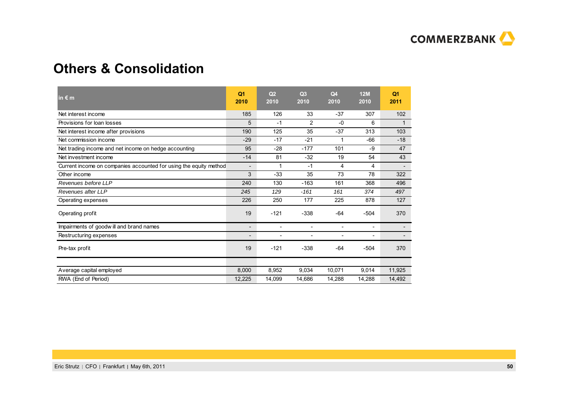

### **Others & Consolidation**

| in $\epsilon$ m                                                   | Q <sub>1</sub><br>2010   | Q2<br>2010               | Q <sub>3</sub><br>2010   | Q4<br>2010               | 12M<br>2010              | Q <sub>1</sub><br>2011 |
|-------------------------------------------------------------------|--------------------------|--------------------------|--------------------------|--------------------------|--------------------------|------------------------|
| Net interest income                                               | 185                      | 126                      | 33                       | $-37$                    | 307                      | 102                    |
| Provisions for loan losses                                        | 5                        | $-1$                     | 2                        | $-0$                     | 6                        |                        |
| Net interest income after provisions                              | 190                      | 125                      | 35                       | $-37$                    | 313                      | 103                    |
| Net commission income                                             | $-29$                    | $-17$                    | $-21$                    |                          | $-66$                    | $-18$                  |
| Net trading income and net income on hedge accounting             | 95                       | $-28$                    | $-177$                   | 101                      | -9                       | 47                     |
| Net investment income                                             | $-14$                    | 81                       | $-32$                    | 19                       | 54                       | 43                     |
| Current income on companies accounted for using the equity method | $\overline{\phantom{a}}$ | 1                        | $-1$                     | 4                        | 4                        |                        |
| Other income                                                      | 3                        | $-33$                    | 35                       | 73                       | 78                       | 322                    |
| Revenues before LLP                                               | 240                      | 130                      | $-163$                   | 161                      | 368                      | 496                    |
| Revenues after LLP                                                | 245                      | 129                      | $-161$                   | 161                      | 374                      | 497                    |
| Operating expenses                                                | 226                      | 250                      | 177                      | 225                      | 878                      | 127                    |
| Operating profit                                                  | 19                       | $-121$                   | $-338$                   | $-64$                    | $-504$                   | 370                    |
| Impairments of goodwill and brand names                           | $\overline{\phantom{a}}$ | $\overline{\phantom{a}}$ | $\overline{\phantom{a}}$ | $\overline{\phantom{a}}$ | $\overline{\phantom{a}}$ |                        |
| Restructuring expenses                                            | $\overline{\phantom{a}}$ | $\overline{\phantom{a}}$ | $\overline{\phantom{a}}$ | $\overline{\phantom{a}}$ | $\overline{\phantom{a}}$ |                        |
| Pre-tax profit                                                    | 19                       | $-121$                   | $-338$                   | $-64$                    | $-504$                   | 370                    |
|                                                                   |                          |                          |                          |                          |                          |                        |
| Average capital employed                                          | 8,000                    | 8,952                    | 9,034                    | 10,071                   | 9,014                    | 11,925                 |
| RWA (End of Period)                                               | 12,225                   | 14,099                   | 14,686                   | 14,288                   | 14,288                   | 14,492                 |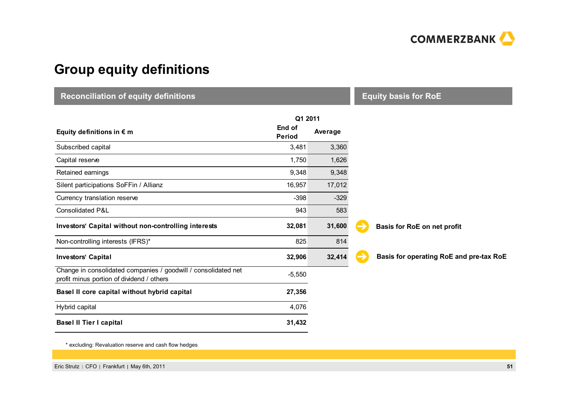

### **Group equity definitions**

**Reconciliation of equity definitions**

**Reconciliation of equity definitions**

**Equity basis for RoE**

|                                                                                                             | Q1 2011                 |         |  |  |
|-------------------------------------------------------------------------------------------------------------|-------------------------|---------|--|--|
| Equity definitions in $\epsilon$ m                                                                          | End of<br><b>Period</b> | Average |  |  |
| Subscribed capital                                                                                          | 3,481                   | 3,360   |  |  |
| Capital reserve                                                                                             | 1,750                   | 1,626   |  |  |
| Retained earnings                                                                                           | 9,348                   | 9,348   |  |  |
| Silent participations SoFFin / Allianz                                                                      | 16,957                  | 17,012  |  |  |
| Currency translation reserve                                                                                | $-398$                  | $-329$  |  |  |
| Consolidated P&L                                                                                            | 943                     | 583     |  |  |
| Investors' Capital without non-controlling interests                                                        | 32,081                  | 31,600  |  |  |
| Non-controlling interests (IFRS)*                                                                           | 825                     | 814     |  |  |
| <b>Investors' Capital</b>                                                                                   | 32,906                  | 32,414  |  |  |
| Change in consolidated companies / goodwill / consolidated net<br>profit minus portion of dividend / others | $-5,550$                |         |  |  |
| Basel II core capital without hybrid capital                                                                | 27,356                  |         |  |  |
| Hybrid capital                                                                                              | 4,076                   |         |  |  |
| <b>Basel II Tier I capital</b>                                                                              | 31,432                  |         |  |  |
|                                                                                                             |                         |         |  |  |

**Basis for RoE on net profit**

**Basis for operating RoE and pre-tax RoE**

\* excluding: Revaluation reserve and cash flow hedges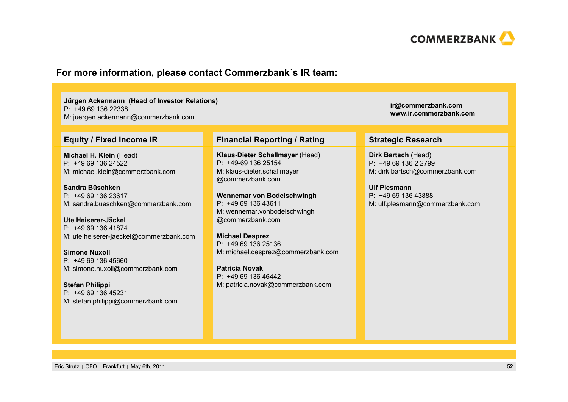

### **For more information, please contact Commerzbank´s IR team:**

#### **Jürgen Ackermann (Head of Investor Relations)** P: +49 69 136 22338M: juergen.ackermann@commerzbank.com

**Michael H. Klein** (Head) P: +49 69 136 24522M: michael.klein@commerzbank.com

**Sandra Büschken**P: +49 69 136 23617M: sandra.bueschken@commerzbank.com

**Ute Heiserer-Jäckel**P: +49 69 136 41874M: ute.heiserer-jaeckel@commerzbank.com

**Simone Nuxoll**P: +49 69 136 45660M: simone.nuxoll@commerzbank.com

**Stefan Philippi** P: +49 69 136 45231M: stefan.philippi@commerzbank.com

#### **Equity / Fixed Income IR Financial Reporting / Rating Strategic Research**

**Klaus-Dieter Schallmayer** (Head) P: +49-69 136 25154M: klaus-dieter.schallmayer @commerzbank.com

**Wennemar von Bodelschwingh** P: +49 69 136 43611M: wennemar.vonbodelschwingh @commerzbank.com

**Michael Desprez** P: +49 69 136 25136M: michael.desprez@commerzbank.com

**Patricia Novak**P: +49 69 136 46442M: patricia.novak@commerzbank.com

**Dirk Bartsch** (Head)  $P: +496913622799$ M: dirk.bartsch@commerzbank.com

**ir@commerzbank.com www.ir.commerzbank.com**

#### **Ulf Plesmann**

P: +49 69 136 43888 M: ulf.plesmann@commerzbank.com